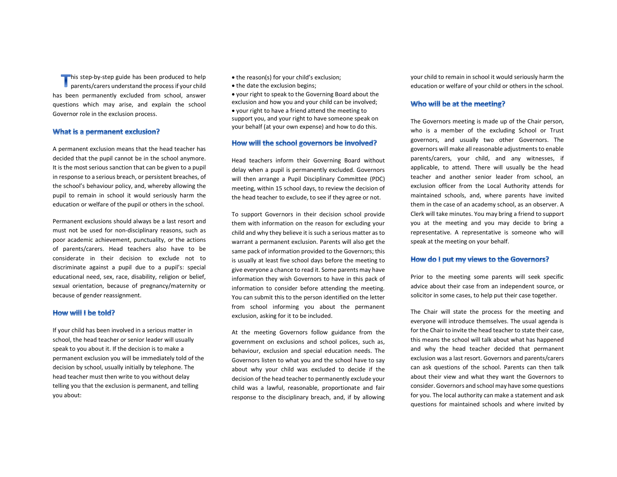his step-by-step guide has been produced to help  $\Box$  parents/carers understand the process if your child has been permanently excluded from school, answer questions which may arise, and explain the school Governor role in the exclusion process.

#### What is a permanent exclusion?

A permanent exclusion means that the head teacher has decided that the pupil cannot be in the school anymore. It is the most serious sanction that can be given to a pupil in response to a serious breach, or persistent breaches, of the school's behaviour policy, and, whereby allowing the pupil to remain in school it would seriously harm the education or welfare of the pupil or others in the school.

Permanent exclusions should always be a last resort and must not be used for non-disciplinary reasons, such as poor academic achievement, punctuality, or the actions of parents/carers. Head teachers also have to be considerate in their decision to exclude not to discriminate against a pupil due to a pupil's: special educational need, sex, race, disability, religion or belief, sexual orientation, because of pregnancy/maternity or because of gender reassignment.

## How will I be told?

If your child has been involved in a serious matter in school, the head teacher or senior leader will usually speak to you about it. If the decision is to make a permanent exclusion you will be immediately told of the decision by school, usually initially by telephone. The head teacher must then write to you without delay telling you that the exclusion is permanent, and telling you about:

• the reason(s) for your child's exclusion;

• the date the exclusion begins;

 your right to speak to the Governing Board about the exclusion and how you and your child can be involved; your right to have a friend attend the meeting to support you, and your right to have someone speak on your behalf (at your own expense) and how to do this.

### How will the school governors be involved?

Head teachers inform their Governing Board without delay when a pupil is permanently excluded. Governors will then arrange a Pupil Disciplinary Committee (PDC) meeting, within 15 school days, to review the decision of the head teacher to exclude, to see if they agree or not.

To support Governors in their decision school provide them with information on the reason for excluding your child and why they believe it is such a serious matter as to warrant a permanent exclusion. Parents will also get the same pack of information provided to the Governors; this is usually at least five school days before the meeting to give everyone a chance to read it. Some parents may have information they wish Governors to have in this pack of information to consider before attending the meeting. You can submit this to the person identified on the letter from school informing you about the permanent exclusion, asking for it to be included.

At the meeting Governors follow guidance from the government on exclusions and school polices, such as, behaviour, exclusion and special education needs. The Governors listen to what you and the school have to say about why your child was excluded to decide if the decision of the head teacher to permanently exclude your child was a lawful, reasonable, proportionate and fair response to the disciplinary breach, and, if by allowing your child to remain in school it would seriously harm the education or welfare of your child or others in the school.

#### Who will be at the meeting?

The Governors meeting is made up of the Chair person, who is a member of the excluding School or Trust governors, and usually two other Governors. The governors will make all reasonable adjustments to enable parents/carers, your child, and any witnesses, if applicable, to attend. There will usually be the head teacher and another senior leader from school, an exclusion officer from the Local Authority attends for maintained schools, and, where parents have invited them in the case of an academy school, as an observer. A Clerk will take minutes. You may bring a friend to support you at the meeting and you may decide to bring a representative. A representative is someone who will speak at the meeting on your behalf.

### How do I put my views to the Governors?

Prior to the meeting some parents will seek specific advice about their case from an independent source, or solicitor in some cases, to help put their case together.

The Chair will state the process for the meeting and everyone will introduce themselves. The usual agenda is for the Chair to invite the head teacher to state their case, this means the school will talk about what has happened and why the head teacher decided that permanent exclusion was a last resort. Governors and parents/carers can ask questions of the school. Parents can then talk about their view and what they want the Governors to consider. Governors and school may have some questions for you. The local authority can make a statement and ask questions for maintained schools and where invited by